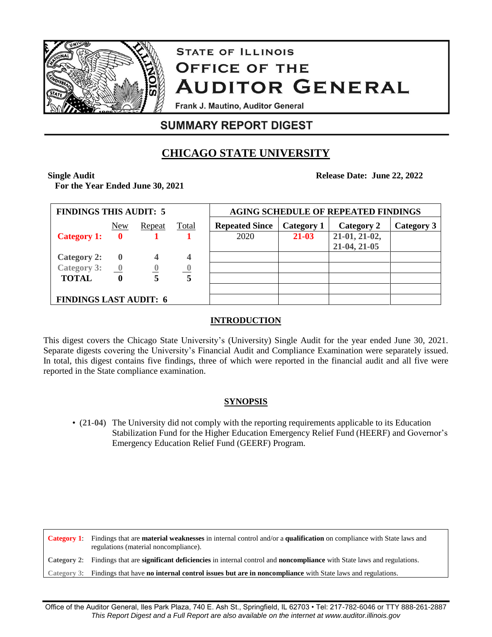

# **STATE OF ILLINOIS OFFICE OF THE AUDITOR GENERAL**

Frank J. Mautino, Auditor General

## **SUMMARY REPORT DIGEST**

## **CHICAGO STATE UNIVERSITY**

**Single Audit** 

**For the Year Ended June 30, 2021**

**Release Date: June 22, 2022**

| <b>FINDINGS THIS AUDIT: 5</b>              |              |                  |                | <b>AGING SCHEDULE OF REPEATED FINDINGS</b> |            |               |            |
|--------------------------------------------|--------------|------------------|----------------|--------------------------------------------|------------|---------------|------------|
|                                            | New          | Repeat           | <b>Total</b>   | <b>Repeated Since</b>                      | Category 1 | Category 2    | Category 3 |
| <b>Category 1:</b>                         | $\bf{0}$     |                  |                | 2020                                       | 21-03      | 21-01, 21-02, |            |
|                                            |              |                  |                |                                            |            | 21-04, 21-05  |            |
| <b>Category 2:</b>                         | $\bf{0}$     |                  | 4              |                                            |            |               |            |
| Category 3: $\underline{\qquad \qquad }$ 0 |              | $\boldsymbol{0}$ | $\overline{0}$ |                                            |            |               |            |
| <b>TOTAL</b>                               | $\mathbf{0}$ |                  | 5              |                                            |            |               |            |
|                                            |              |                  |                |                                            |            |               |            |
| <b>FINDINGS LAST AUDIT: 6</b>              |              |                  |                |                                            |            |               |            |

### **INTRODUCTION**

This digest covers the Chicago State University's (University) Single Audit for the year ended June 30, 2021. Separate digests covering the University's Financial Audit and Compliance Examination were separately issued. In total, this digest contains five findings, three of which were reported in the financial audit and all five were reported in the State compliance examination.

### **SYNOPSIS**

• (**21-04**) The University did not comply with the reporting requirements applicable to its Education Stabilization Fund for the Higher Education Emergency Relief Fund (HEERF) and Governor's Emergency Education Relief Fund (GEERF) Program.

**Category 1**: Findings that are **material weaknesses** in internal control and/or a **qualification** on compliance with State laws and regulations (material noncompliance). **Category 2**: Findings that are **significant deficiencies** in internal control and **noncompliance** with State laws and regulations. **Category 3**: Findings that have **no internal control issues but are in noncompliance** with State laws and regulations.

Office of the Auditor General, Iles Park Plaza, 740 E. Ash St., Springfield, IL 62703 • Tel: 217-782-6046 or TTY 888-261-2887 *This Report Digest and a Full Report are also available on the internet at www.auditor.illinois.gov*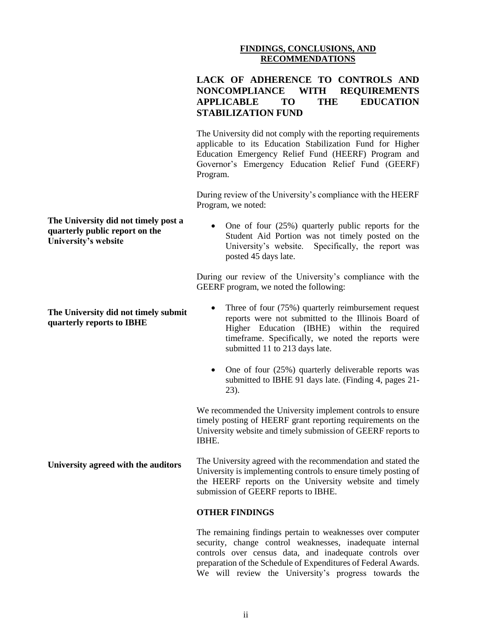#### **FINDINGS, CONCLUSIONS, AND RECOMMENDATIONS**

| LACK OF ADHERENCE TO CONTROLS AND |  |                 |           |  |  |  |  |  |
|-----------------------------------|--|-----------------|-----------|--|--|--|--|--|
| NONCOMPLIANCE WITH REQUIREMENTS   |  |                 |           |  |  |  |  |  |
| APPLICABLE TO                     |  | THE <b>TELE</b> | EDUCATION |  |  |  |  |  |
| <b>STABILIZATION FUND</b>         |  |                 |           |  |  |  |  |  |

The University did not comply with the reporting requirements applicable to its Education Stabilization Fund for Higher Education Emergency Relief Fund (HEERF) Program and Governor's Emergency Education Relief Fund (GEERF) Program.

During review of the University's compliance with the HEERF Program, we noted:

#### **The University did not timely post a quarterly public report on the University's website**

**University agreed with the auditors**

 One of four (25%) quarterly public reports for the Student Aid Portion was not timely posted on the University's website. Specifically, the report was posted 45 days late.

During our review of the University's compliance with the GEERF program, we noted the following:

#### **The University did not timely submit quarterly reports to IBHE** Three of four (75%) quarterly reimbursement request reports were not submitted to the Illinois Board of Higher Education (IBHE) within the required timeframe. Specifically, we noted the reports were submitted 11 to 213 days late.

• One of four (25%) quarterly deliverable reports was submitted to IBHE 91 days late. (Finding 4, pages 21- 23).

We recommended the University implement controls to ensure timely posting of HEERF grant reporting requirements on the University website and timely submission of GEERF reports to IBHE.

The University agreed with the recommendation and stated the University is implementing controls to ensure timely posting of the HEERF reports on the University website and timely submission of GEERF reports to IBHE.

#### **OTHER FINDINGS**

The remaining findings pertain to weaknesses over computer security, change control weaknesses, inadequate internal controls over census data, and inadequate controls over preparation of the Schedule of Expenditures of Federal Awards. We will review the University's progress towards the